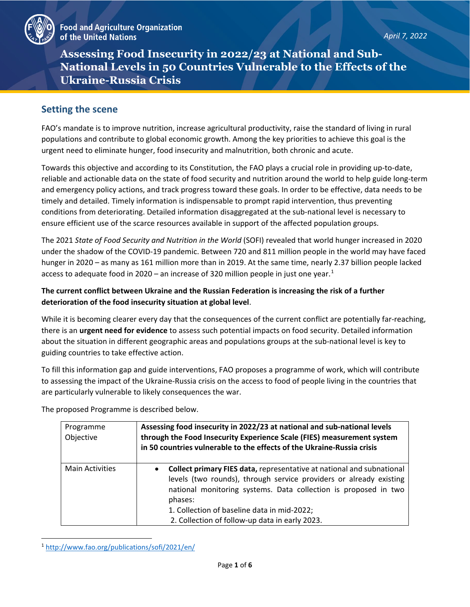

**Assessing Food Insecurity in 2022/23 at National and Sub-National Levels in 50 Countries Vulnerable to the Effects of the Ukraine-Russia Crisis**

## **Setting the scene**

FAO's mandate is to improve nutrition, increase agricultural productivity, raise the standard of living in rural populations and contribute to global economic growth. Among the key priorities to achieve this goal is the urgent need to eliminate hunger, food insecurity and malnutrition, both chronic and acute.

Towards this objective and according to its Constitution, the FAO plays a crucial role in providing up-to-date, reliable and actionable data on the state of food security and nutrition around the world to help guide long-term and emergency policy actions, and track progress toward these goals. In order to be effective, data needs to be timely and detailed. Timely information is indispensable to prompt rapid intervention, thus preventing conditions from deteriorating. Detailed information disaggregated at the sub-national level is necessary to ensure efficient use of the scarce resources available in support of the affected population groups.

The 2021 *State of Food Security and Nutrition in the World* (SOFI) revealed that world hunger increased in 2020 under the shadow of the COVID-19 pandemic. Between 720 and 811 million people in the world may have faced hunger in 2020 – as many as 161 million more than in 2019. At the same time, nearly 2.37 billion people lacked access to adequate food in 2020 – an increase of 320 million people in just one year.<sup>[1](#page-0-0)</sup>

### **The current conflict between Ukraine and the Russian Federation is increasing the risk of a further deterioration of the food insecurity situation at global level**.

While it is becoming clearer every day that the consequences of the current conflict are potentially far-reaching, there is an **urgent need for evidence** to assess such potential impacts on food security. Detailed information about the situation in different geographic areas and populations groups at the sub-national level is key to guiding countries to take effective action.

To fill this information gap and guide interventions, FAO proposes a programme of work, which will contribute to assessing the impact of the Ukraine-Russia crisis on the access to food of people living in the countries that are particularly vulnerable to likely consequences the war.

The proposed Programme is described below.

| Programme<br>Objective | Assessing food insecurity in 2022/23 at national and sub-national levels<br>through the Food Insecurity Experience Scale (FIES) measurement system<br>in 50 countries vulnerable to the effects of the Ukraine-Russia crisis                                                                                                            |
|------------------------|-----------------------------------------------------------------------------------------------------------------------------------------------------------------------------------------------------------------------------------------------------------------------------------------------------------------------------------------|
| <b>Main Activities</b> | Collect primary FIES data, representative at national and subnational<br>$\bullet$<br>levels (two rounds), through service providers or already existing<br>national monitoring systems. Data collection is proposed in two<br>phases:<br>1. Collection of baseline data in mid-2022;<br>2. Collection of follow-up data in early 2023. |

<span id="page-0-0"></span><sup>1</sup> <http://www.fao.org/publications/sofi/2021/en/>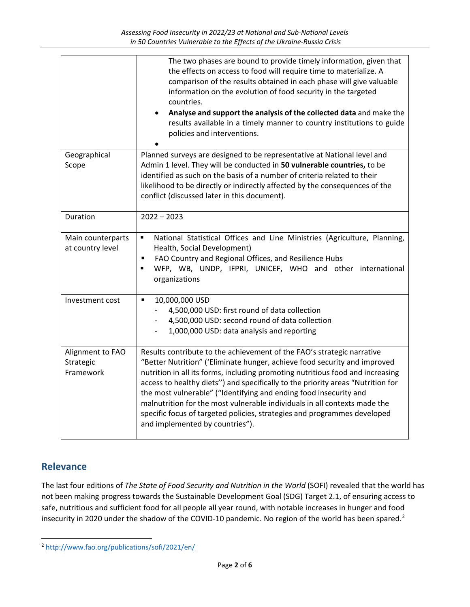|                                            | The two phases are bound to provide timely information, given that<br>the effects on access to food will require time to materialize. A<br>comparison of the results obtained in each phase will give valuable<br>information on the evolution of food security in the targeted<br>countries.<br>Analyse and support the analysis of the collected data and make the<br>results available in a timely manner to country institutions to guide<br>policies and interventions.                                                                                                              |
|--------------------------------------------|-------------------------------------------------------------------------------------------------------------------------------------------------------------------------------------------------------------------------------------------------------------------------------------------------------------------------------------------------------------------------------------------------------------------------------------------------------------------------------------------------------------------------------------------------------------------------------------------|
| Geographical<br>Scope                      | Planned surveys are designed to be representative at National level and<br>Admin 1 level. They will be conducted in 50 vulnerable countries, to be<br>identified as such on the basis of a number of criteria related to their<br>likelihood to be directly or indirectly affected by the consequences of the<br>conflict (discussed later in this document).                                                                                                                                                                                                                             |
| Duration                                   | $2022 - 2023$                                                                                                                                                                                                                                                                                                                                                                                                                                                                                                                                                                             |
| Main counterparts<br>at country level      | National Statistical Offices and Line Ministries (Agriculture, Planning,<br>$\blacksquare$<br>Health, Social Development)<br>FAO Country and Regional Offices, and Resilience Hubs<br>$\blacksquare$<br>WFP, WB, UNDP, IFPRI, UNICEF, WHO and other international<br>$\blacksquare$<br>organizations                                                                                                                                                                                                                                                                                      |
| Investment cost                            | $\blacksquare$<br>10,000,000 USD<br>4,500,000 USD: first round of data collection<br>4,500,000 USD: second round of data collection<br>1,000,000 USD: data analysis and reporting                                                                                                                                                                                                                                                                                                                                                                                                         |
| Alignment to FAO<br>Strategic<br>Framework | Results contribute to the achievement of the FAO's strategic narrative<br>"Better Nutrition" ('Eliminate hunger, achieve food security and improved<br>nutrition in all its forms, including promoting nutritious food and increasing<br>access to healthy diets") and specifically to the priority areas "Nutrition for<br>the most vulnerable" ("Identifying and ending food insecurity and<br>malnutrition for the most vulnerable individuals in all contexts made the<br>specific focus of targeted policies, strategies and programmes developed<br>and implemented by countries"). |

# **Relevance**

The last four editions of *The State of Food Security and Nutrition in the World* (SOFI) revealed that the world has not been making progress towards the Sustainable Development Goal (SDG) Target 2.1, of ensuring access to safe, nutritious and sufficient food for all people all year round, with notable increases in hunger and food insecurity in [2](#page-1-0)020 under the shadow of the COVID-10 pandemic. No region of the world has been spared.<sup>2</sup>

<span id="page-1-0"></span><sup>2</sup> <http://www.fao.org/publications/sofi/2021/en/>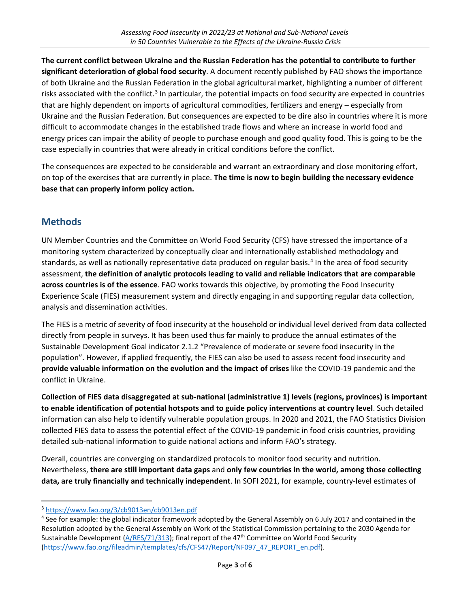**The current conflict between Ukraine and the Russian Federation has the potential to contribute to further significant deterioration of global food security**. A document recently published by FAO shows the importance of both Ukraine and the Russian Federation in the global agricultural market, highlighting a number of different risks associated with the conflict.<sup>[3](#page-2-0)</sup> In particular, the potential impacts on food security are expected in countries that are highly dependent on imports of agricultural commodities, fertilizers and energy – especially from Ukraine and the Russian Federation. But consequences are expected to be dire also in countries where it is more difficult to accommodate changes in the established trade flows and where an increase in world food and energy prices can impair the ability of people to purchase enough and good quality food. This is going to be the case especially in countries that were already in critical conditions before the conflict.

The consequences are expected to be considerable and warrant an extraordinary and close monitoring effort, on top of the exercises that are currently in place. **The time is now to begin building the necessary evidence base that can properly inform policy action.** 

# **Methods**

UN Member Countries and the Committee on World Food Security (CFS) have stressed the importance of a monitoring system characterized by conceptually clear and internationally established methodology and standards, as well as nationally representative data produced on regular basis.<sup>[4](#page-2-1)</sup> In the area of food security assessment, **the definition of analytic protocols leading to valid and reliable indicators that are comparable across countries is of the essence**. FAO works towards this objective, by promoting the Food Insecurity Experience Scale (FIES) measurement system and directly engaging in and supporting regular data collection, analysis and dissemination activities.

The FIES is a metric of severity of food insecurity at the household or individual level derived from data collected directly from people in surveys. It has been used thus far mainly to produce the annual estimates of the Sustainable Development Goal indicator 2.1.2 "Prevalence of moderate or severe food insecurity in the population". However, if applied frequently, the FIES can also be used to assess recent food insecurity and **provide valuable information on the evolution and the impact of crises** like the COVID-19 pandemic and the conflict in Ukraine.

**Collection of FIES data disaggregated at sub-national (administrative 1) levels (regions, provinces) is important to enable identification of potential hotspots and to guide policy interventions at country level**. Such detailed information can also help to identify vulnerable population groups. In 2020 and 2021, the FAO Statistics Division collected FIES data to assess the potential effect of the COVID-19 pandemic in food crisis countries, providing detailed sub-national information to guide national actions and inform FAO's strategy.

Overall, countries are converging on standardized protocols to monitor food security and nutrition. Nevertheless, **there are still important data gaps** and **only few countries in the world, among those collecting data, are truly financially and technically independent**. In SOFI 2021, for example, country-level estimates of

<span id="page-2-1"></span><span id="page-2-0"></span> $3 \frac{\text{https://www.fao.org/3/cb9013en/cb9013en.pdf}}{4 \text{ See for example: the global indicator framework adopted by the General Assembly on 6 July 2017 and contained in the$ Resolution adopted by the General Assembly on Work of the Statistical Commission pertaining to the 2030 Agenda for Sustainable Development [\(A/RES/71/313\)](https://undocs.org/A/RES/71/313); final report of the 47<sup>th</sup> Committee on World Food Security [\(https://www.fao.org/fileadmin/templates/cfs/CFS47/Report/NF097\\_47\\_REPORT\\_en.pdf\)](https://www.fao.org/fileadmin/templates/cfs/CFS47/Report/NF097_47_REPORT_en.pdf).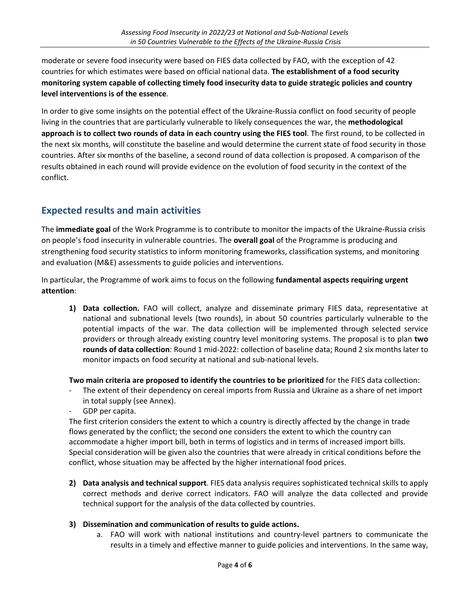moderate or severe food insecurity were based on FIES data collected by FAO, with the exception of 42 countries for which estimates were based on official national data. **The establishment of a food security monitoring system capable of collecting timely food insecurity data to guide strategic policies and country level interventions is of the essence**.

In order to give some insights on the potential effect of the Ukraine-Russia conflict on food security of people living in the countries that are particularly vulnerable to likely consequences the war, the **methodological approach is to collect two rounds of data in each country using the FIES tool**. The first round, to be collected in the next six months, will constitute the baseline and would determine the current state of food security in those countries. After six months of the baseline, a second round of data collection is proposed. A comparison of the results obtained in each round will provide evidence on the evolution of food security in the context of the conflict.

# **Expected results and main activities**

The **immediate goal** of the Work Programme is to contribute to monitor the impacts of the Ukraine-Russia crisis on people's food insecurity in vulnerable countries. The **overall goal** of the Programme is producing and strengthening food security statistics to inform monitoring frameworks, classification systems, and monitoring and evaluation (M&E) assessments to guide policies and interventions.

In particular, the Programme of work aims to focus on the following **fundamental aspects requiring urgent attention**:

**1) Data collection.** FAO will collect, analyze and disseminate primary FIES data, representative at national and subnational levels (two rounds), in about 50 countries particularly vulnerable to the potential impacts of the war. The data collection will be implemented through selected service providers or through already existing country level monitoring systems. The proposal is to plan **two rounds of data collection**: Round 1 mid-2022: collection of baseline data; Round 2 six months later to monitor impacts on food security at national and sub-national levels.

**Two main criteria are proposed to identify the countries to be prioritized** for the FIES data collection:

- The extent of their dependency on cereal imports from Russia and Ukraine as a share of net import in total supply (see Annex).
- GDP per capita.

The first criterion considers the extent to which a country is directly affected by the change in trade flows generated by the conflict; the second one considers the extent to which the country can accommodate a higher import bill, both in terms of logistics and in terms of increased import bills. Special consideration will be given also the countries that were already in critical conditions before the conflict, whose situation may be affected by the higher international food prices.

**2) Data analysis and technical support**. FIES data analysis requires sophisticated technical skills to apply correct methods and derive correct indicators. FAO will analyze the data collected and provide technical support for the analysis of the data collected by countries.

#### **3) Dissemination and communication of results to guide actions.**

a. FAO will work with national institutions and country-level partners to communicate the results in a timely and effective manner to guide policies and interventions. In the same way,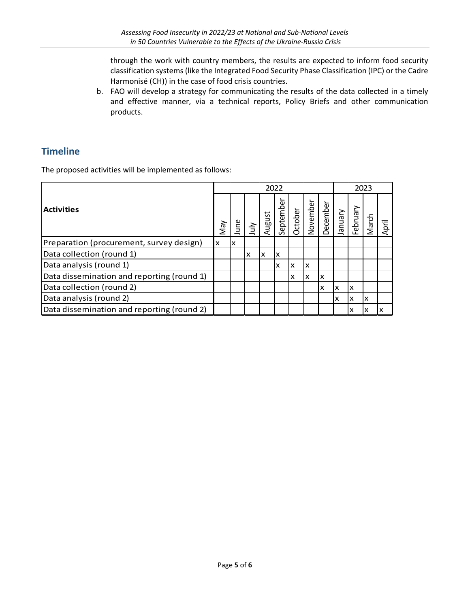through the work with country members, the results are expected to inform food security classification systems (like the Integrated Food Security Phase Classification (IPC) or the Cadre Harmonisé (CH)) in the case of food crisis countries.

b. FAO will develop a strategy for communicating the results of the data collected in a timely and effective manner, via a technical reports, Policy Briefs and other communication products.

## **Timeline**

The proposed activities will be implemented as follows:

| <b>Activities</b>                             |  | 2022 |       |        |           |   |                                            |    |    | 2023     |       |       |  |
|-----------------------------------------------|--|------|-------|--------|-----------|---|--------------------------------------------|----|----|----------|-------|-------|--|
|                                               |  | June | 与<br> | August | September |   | October<br>November<br>December<br>January |    |    | February | March | April |  |
| Preparation (procurement, survey design)<br>x |  | Iχ   |       |        |           |   |                                            |    |    |          |       |       |  |
| Data collection (round 1)                     |  |      | x     | x      | X         |   |                                            |    |    |          |       |       |  |
| Data analysis (round 1)                       |  |      |       |        | X         | x | x                                          |    |    |          |       |       |  |
| Data dissemination and reporting (round 1)    |  |      |       |        |           | x | X                                          | Iχ |    |          |       |       |  |
| Data collection (round 2)                     |  |      |       |        |           |   |                                            | X  | Ιx | X        |       |       |  |
| Data analysis (round 2)                       |  |      |       |        |           |   |                                            |    | X  | X        | x     |       |  |
| Data dissemination and reporting (round 2)    |  |      |       |        |           |   |                                            |    |    | x        |       |       |  |